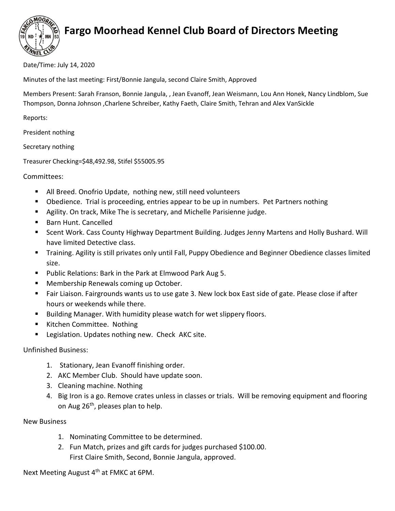

## Fargo Moorhead Kennel Club Board of Directors Meeting

Date/Time: July 14, 2020

Minutes of the last meeting: First/Bonnie Jangula, second Claire Smith, Approved

Members Present: Sarah Franson, Bonnie Jangula, , Jean Evanoff, Jean Weismann, Lou Ann Honek, Nancy Lindblom, Sue Thompson, Donna Johnson ,Charlene Schreiber, Kathy Faeth, Claire Smith, Tehran and Alex VanSickle

Reports:

President nothing

Secretary nothing

Treasurer Checking=\$48,492.98, Stifel \$55005.95

Committees:

- All Breed. Onofrio Update, nothing new, still need volunteers
- Obedience. Trial is proceeding, entries appear to be up in numbers. Pet Partners nothing
- Agility. On track, Mike The is secretary, and Michelle Parisienne judge.
- Barn Hunt. Cancelled
- Scent Work. Cass County Highway Department Building. Judges Jenny Martens and Holly Bushard. Will have limited Detective class.
- Training. Agility is still privates only until Fall, Puppy Obedience and Beginner Obedience classes limited size.
- **Public Relations: Bark in the Park at Elmwood Park Aug 5.**
- Membership Renewals coming up October.
- Fair Liaison. Fairgrounds wants us to use gate 3. New lock box East side of gate. Please close if after hours or weekends while there.
- **Building Manager. With humidity please watch for wet slippery floors.**
- Kitchen Committee. Nothing
- **Legislation. Updates nothing new. Check AKC site.**

Unfinished Business:

- 1. Stationary, Jean Evanoff finishing order.
- 2. AKC Member Club. Should have update soon.
- 3. Cleaning machine. Nothing
- 4. Big Iron is a go. Remove crates unless in classes or trials. Will be removing equipment and flooring on Aug 26<sup>th</sup>, pleases plan to help.

New Business

- 1. Nominating Committee to be determined.
- 2. Fun Match, prizes and gift cards for judges purchased \$100.00. First Claire Smith, Second, Bonnie Jangula, approved.

Next Meeting August 4<sup>th</sup> at FMKC at 6PM.